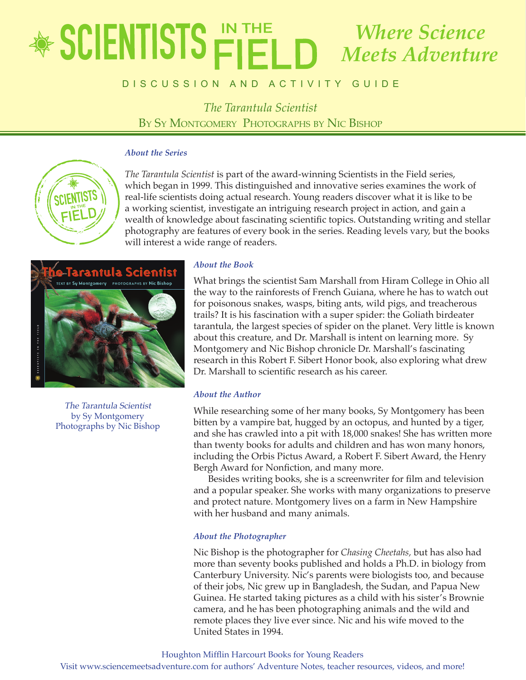## educator's Guide *The Tarantula Scientist Where Science Meets Adventure*

## **BISCUSSION AND ACTIVITY GUIDE**

*The Tarantula Scientist* BY SY MONTGOMERY PHOTOGRAPHS BY NIC BISHOP

## *About the Series*



*The Tarantula Scientist* is part of the award-winning Scientists in the Field series, which began in 1999. This distinguished and innovative series examines the work of real-life scientists doing actual research. Young readers discover what it is like to be a working scientist, investigate an intriguing research project in action, and gain a wealth of knowledge about fascinating scientific topics. Outstanding writing and stellar photography are features of every book in the series. Reading levels vary, but the books will interest a wide range of readers.



The Tarantula Scientist by Sy Montgomery Photographs by Nic Bishop

## *About the Book*

What brings the scientist Sam Marshall from Hiram College in Ohio all the way to the rainforests of French Guiana, where he has to watch out for poisonous snakes, wasps, biting ants, wild pigs, and treacherous trails? It is his fascination with a super spider: the Goliath birdeater tarantula, the largest species of spider on the planet. Very little is known about this creature, and Dr. Marshall is intent on learning more. Sy Montgomery and Nic Bishop chronicle Dr. Marshall's fascinating research in this Robert F. Sibert Honor book, also exploring what drew Dr. Marshall to scientific research as his career.

## *About the Author*

While researching some of her many books, Sy Montgomery has been bitten by a vampire bat, hugged by an octopus, and hunted by a tiger, and she has crawled into a pit with 18,000 snakes! She has written more than twenty books for adults and children and has won many honors, including the Orbis Pictus Award, a Robert F. Sibert Award, the Henry Bergh Award for Nonfiction, and many more.

Besides writing books, she is a screenwriter for film and television and a popular speaker. She works with many organizations to preserve and protect nature. Montgomery lives on a farm in New Hampshire with her husband and many animals.

## *About the Photographer*

Nic Bishop is the photographer for *Chasing Cheetahs,* but has also had more than seventy books published and holds a Ph.D. in biology from Canterbury University. Nic's parents were biologists too, and because of their jobs, Nic grew up in Bangladesh, the Sudan, and Papua New Guinea. He started taking pictures as a child with his sister's Brownie camera, and he has been photographing animals and the wild and remote places they live ever since. Nic and his wife moved to the United States in 1994.

Houghton Mifflin Harcourt Books for Young Readers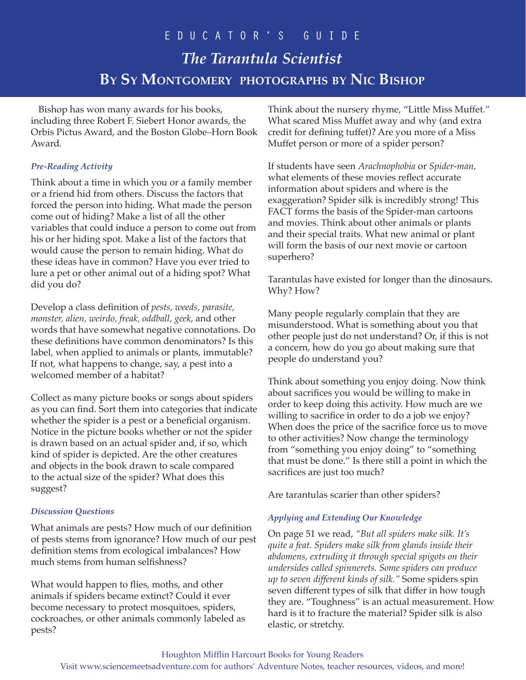Bishop has won many awards for his books, including three Robert F. Siebert Honor awards, the Orbis Pictus Award, and the Boston Globe–Horn Book Award.

## *Pre-Reading Activity*

Think about a time in which you or a family member or a friend hid from others. Discuss the factors that forced the person into hiding. What made the person come out of hiding? Make a list of all the other variables that could induce a person to come out from his or her hiding spot. Make a list of the factors that would cause the person to remain hiding. What do these ideas have in common? Have you ever tried to lure a pet or other animal out of a hiding spot? What did you do?

Develop a class definition of *pests, weeds, parasite, monster, alien, weirdo, freak, oddball, geek,* and other words that have somewhat negative connotations. Do these definitions have common denominators? Is this label, when applied to animals or plants, immutable? If not, what happens to change, say, a pest into a welcomed member of a habitat?

Collect as many picture books or songs about spiders as you can find. Sort them into categories that indicate whether the spider is a pest or a beneficial organism. Notice in the picture books whether or not the spider is drawn based on an actual spider and, if so, which kind of spider is depicted. Are the other creatures and objects in the book drawn to scale compared to the actual size of the spider? What does this suggest?

## *Discussion Questions*

What animals are pests? How much of our definition of pests stems from ignorance? How much of our pest definition stems from ecological imbalances? How much stems from human selfishness?

What would happen to flies, moths, and other animals if spiders became extinct? Could it ever become necessary to protect mosquitoes, spiders, cockroaches, or other animals commonly labeled as pests?

Think about the nursery rhyme, "Little Miss Muffet." What scared Miss Muffet away and why (and extra credit for defining tuffet)? Are you more of a Miss Muffet person or more of a spider person?

If students have seen *Arachnophobia* or *Spider-man*, what elements of these movies reflect accurate information about spiders and where is the exaggeration? Spider silk is incredibly strong! This FACT forms the basis of the Spider-man cartoons and movies. Think about other animals or plants and their special traits. What new animal or plant will form the basis of our next movie or cartoon superhero?

Tarantulas have existed for longer than the dinosaurs. Why? How?

Many people regularly complain that they are misunderstood. What is something about you that other people just do not understand? Or, if this is not a concern, how do you go about making sure that people do understand you?

Think about something you enjoy doing. Now think about sacrifices you would be willing to make in order to keep doing this activity. How much are we willing to sacrifice in order to do a job we enjoy? When does the price of the sacrifice force us to move to other activities? Now change the terminology from "something you enjoy doing" to "something that must be done." Is there still a point in which the sacrifices are just too much?

Are tarantulas scarier than other spiders?

## *Applying and Extending Our Knowledge*

On page 51 we read, *"But all spiders make silk. It's quite a feat. Spiders make silk from glands inside their abdomens, extruding it through special spigots on their undersides called spinnerets. Some spiders can produce up to seven different kinds of silk."* Some spiders spin seven different types of silk that differ in how tough they are. "Toughness" is an actual measurement. How hard is it to fracture the material? Spider silk is also elastic, or stretchy.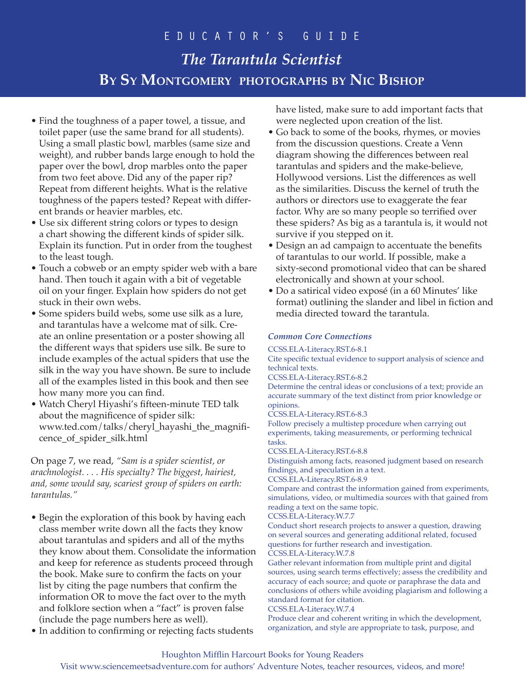## educator's Guide

# *The Tarantula Scientist* **By Sy Montgomery photographs by Nic Bishop**

- Find the toughness of a paper towel, a tissue, and toilet paper (use the same brand for all students). Using a small plastic bowl, marbles (same size and weight), and rubber bands large enough to hold the paper over the bowl, drop marbles onto the paper from two feet above. Did any of the paper rip? Repeat from different heights. What is the relative toughness of the papers tested? Repeat with different brands or heavier marbles, etc.
- Use six different string colors or types to design a chart showing the different kinds of spider silk. Explain its function. Put in order from the toughest to the least tough.
- Touch a cobweb or an empty spider web with a bare hand. Then touch it again with a bit of vegetable oil on your finger. Explain how spiders do not get stuck in their own webs.
- Some spiders build webs, some use silk as a lure, and tarantulas have a welcome mat of silk. Create an online presentation or a poster showing all the different ways that spiders use silk. Be sure to include examples of the actual spiders that use the silk in the way you have shown. Be sure to include all of the examples listed in this book and then see how many more you can find.
- Watch Cheryl Hiyashi's fifteen-minute TED talk about the magnificence of spider silk: www.ted.com/talks/cheryl\_hayashi\_the\_magnificence\_of\_spider\_silk.html

On page 7, we read, *"Sam is a spider scientist, or arachnologist. . . . His specialty? The biggest, hairiest, and, some would say, scariest group of spiders on earth: tarantulas."*

- Begin the exploration of this book by having each class member write down all the facts they know about tarantulas and spiders and all of the myths they know about them. Consolidate the information and keep for reference as students proceed through the book. Make sure to confirm the facts on your list by citing the page numbers that confirm the information OR to move the fact over to the myth and folklore section when a "fact" is proven false (include the page numbers here as well).
- In addition to confirming or rejecting facts students

have listed, make sure to add important facts that were neglected upon creation of the list.

- Go back to some of the books, rhymes, or movies from the discussion questions. Create a Venn diagram showing the differences between real tarantulas and spiders and the make-believe, Hollywood versions. List the differences as well as the similarities. Discuss the kernel of truth the authors or directors use to exaggerate the fear factor. Why are so many people so terrified over these spiders? As big as a tarantula is, it would not survive if you stepped on it.
- Design an ad campaign to accentuate the benefits of tarantulas to our world. If possible, make a sixty-second promotional video that can be shared electronically and shown at your school.
- Do a satirical video exposé (in a 60 Minutes' like format) outlining the slander and libel in fiction and media directed toward the tarantula.

## *Common Core Connections*

CCSS.ELA-Literacy.RST.6-8.1

Cite specific textual evidence to support analysis of science and technical texts.

CCSS.ELA-Literacy.RST.6-8.2

Determine the central ideas or conclusions of a text; provide an accurate summary of the text distinct from prior knowledge or opinions.

CCSS.ELA-Literacy.RST.6-8.3

Follow precisely a multistep procedure when carrying out experiments, taking measurements, or performing technical tasks.

CCSS.ELA-Literacy.RST.6-8.8

Distinguish among facts, reasoned judgment based on research findings, and speculation in a text.

CCSS.ELA-Literacy.RST.6-8.9

Compare and contrast the information gained from experiments, simulations, video, or multimedia sources with that gained from reading a text on the same topic.

### CCSS.ELA-Literacy.W.7.7

Conduct short research projects to answer a question, drawing on several sources and generating additional related, focused questions for further research and investigation.

CCSS.ELA-Literacy.W.7.8

Gather relevant information from multiple print and digital sources, using search terms effectively; assess the credibility and accuracy of each source; and quote or paraphrase the data and conclusions of others while avoiding plagiarism and following a standard format for citation.

### CCSS.ELA-Literacy.W.7.4

Produce clear and coherent writing in which the development, organization, and style are appropriate to task, purpose, and

## Houghton Mifflin Harcourt Books for Young Readers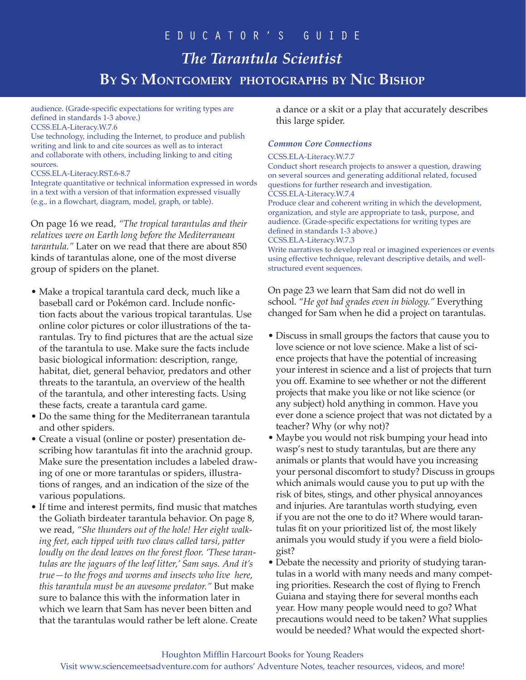audience. (Grade-specific expectations for writing types are defined in standards 1-3 above.) CCSS.ELA-Literacy.W.7.6

Use technology, including the Internet, to produce and publish writing and link to and cite sources as well as to interact and collaborate with others, including linking to and citing sources.

CCSS.ELA-Literacy.RST.6-8.7

Integrate quantitative or technical information expressed in words in a text with a version of that information expressed visually (e.g., in a flowchart, diagram, model, graph, or table).

On page 16 we read, *"The tropical tarantulas and their relatives were on Earth long before the Mediterranean tarantula."* Later on we read that there are about 850 kinds of tarantulas alone, one of the most diverse group of spiders on the planet.

- Make a tropical tarantula card deck, much like a baseball card or Pokémon card. Include nonfiction facts about the various tropical tarantulas. Use online color pictures or color illustrations of the tarantulas. Try to find pictures that are the actual size of the tarantula to use. Make sure the facts include basic biological information: description, range, habitat, diet, general behavior, predators and other threats to the tarantula, an overview of the health of the tarantula, and other interesting facts. Using these facts, create a tarantula card game.
- Do the same thing for the Mediterranean tarantula and other spiders.
- Create a visual (online or poster) presentation describing how tarantulas fit into the arachnid group. Make sure the presentation includes a labeled drawing of one or more tarantulas or spiders, illustrations of ranges, and an indication of the size of the various populations.
- If time and interest permits, find music that matches the Goliath birdeater tarantula behavior. On page 8, we read, *"She thunders out of the hole! Her eight walking feet, each tipped with two claws called tarsi, patter loudly on the dead leaves on the forest floor. 'These tarantulas are the jaguars of the leaf litter,' Sam says. And it's true—to the frogs and worms and insects who live here, this tarantula must be an awesome predator."* But make sure to balance this with the information later in which we learn that Sam has never been bitten and that the tarantulas would rather be left alone. Create

a dance or a skit or a play that accurately describes this large spider.

## *Common Core Connections*

### CCSS.ELA-Literacy.W.7.7

Conduct short research projects to answer a question, drawing on several sources and generating additional related, focused questions for further research and investigation. CCSS.ELA-Literacy.W.7.4 Produce clear and coherent writing in which the development, organization, and style are appropriate to task, purpose, and audience. (Grade-specific expectations for writing types are defined in standards 1-3 above.) CCSS.ELA-Literacy.W.7.3 Write narratives to develop real or imagined experiences or events using effective technique, relevant descriptive details, and wellstructured event sequences.

On page 23 we learn that Sam did not do well in school. *"He got bad grades even in biology."* Everything changed for Sam when he did a project on tarantulas.

- Discuss in small groups the factors that cause you to love science or not love science. Make a list of science projects that have the potential of increasing your interest in science and a list of projects that turn you off. Examine to see whether or not the different projects that make you like or not like science (or any subject) hold anything in common. Have you ever done a science project that was not dictated by a teacher? Why (or why not)?
- Maybe you would not risk bumping your head into wasp's nest to study tarantulas, but are there any animals or plants that would have you increasing your personal discomfort to study? Discuss in groups which animals would cause you to put up with the risk of bites, stings, and other physical annoyances and injuries. Are tarantulas worth studying, even if you are not the one to do it? Where would tarantulas fit on your prioritized list of, the most likely animals you would study if you were a field biologist?
- Debate the necessity and priority of studying tarantulas in a world with many needs and many competing priorities. Research the cost of flying to French Guiana and staying there for several months each year. How many people would need to go? What precautions would need to be taken? What supplies would be needed? What would the expected short-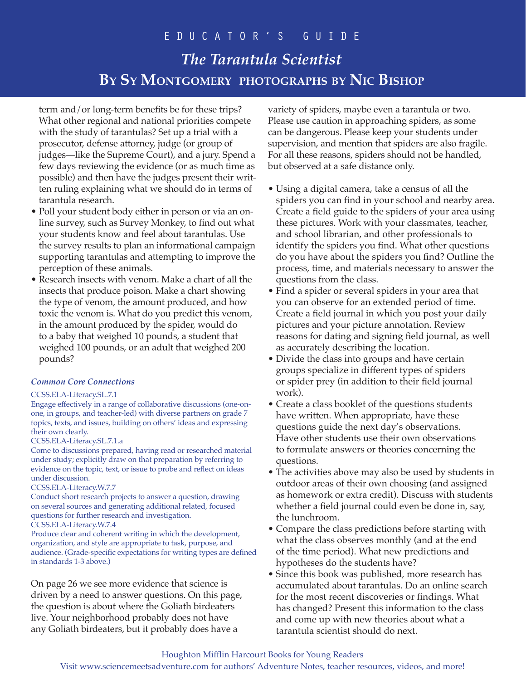term and/or long-term benefits be for these trips? What other regional and national priorities compete with the study of tarantulas? Set up a trial with a prosecutor, defense attorney, judge (or group of judges—like the Supreme Court), and a jury. Spend a few days reviewing the evidence (or as much time as possible) and then have the judges present their written ruling explaining what we should do in terms of tarantula research.

- Poll your student body either in person or via an online survey, such as Survey Monkey, to find out what your students know and feel about tarantulas. Use the survey results to plan an informational campaign supporting tarantulas and attempting to improve the perception of these animals.
- Research insects with venom. Make a chart of all the insects that produce poison. Make a chart showing the type of venom, the amount produced, and how toxic the venom is. What do you predict this venom, in the amount produced by the spider, would do to a baby that weighed 10 pounds, a student that weighed 100 pounds, or an adult that weighed 200 pounds?

### *Common Core Connections*

### CCSS.ELA-Literacy.SL.7.1

Engage effectively in a range of collaborative discussions (one-onone, in groups, and teacher-led) with diverse partners on grade 7 topics, texts, and issues, building on others' ideas and expressing their own clearly.

### CCSS.ELA-Literacy.SL.7.1.a

Come to discussions prepared, having read or researched material under study; explicitly draw on that preparation by referring to evidence on the topic, text, or issue to probe and reflect on ideas under discussion.

### CCSS.ELA-Literacy.W.7.7

Conduct short research projects to answer a question, drawing on several sources and generating additional related, focused questions for further research and investigation.

CCSS.ELA-Literacy.W.7.4

Produce clear and coherent writing in which the development, organization, and style are appropriate to task, purpose, and audience. (Grade-specific expectations for writing types are defined in standards 1-3 above.)

On page 26 we see more evidence that science is driven by a need to answer questions. On this page, the question is about where the Goliath birdeaters live. Your neighborhood probably does not have any Goliath birdeaters, but it probably does have a

variety of spiders, maybe even a tarantula or two. Please use caution in approaching spiders, as some can be dangerous. Please keep your students under supervision, and mention that spiders are also fragile. For all these reasons, spiders should not be handled, but observed at a safe distance only.

- Using a digital camera, take a census of all the spiders you can find in your school and nearby area. Create a field guide to the spiders of your area using these pictures. Work with your classmates, teacher, and school librarian, and other professionals to identify the spiders you find. What other questions do you have about the spiders you find? Outline the process, time, and materials necessary to answer the questions from the class.
- Find a spider or several spiders in your area that you can observe for an extended period of time. Create a field journal in which you post your daily pictures and your picture annotation. Review reasons for dating and signing field journal, as well as accurately describing the location.
- Divide the class into groups and have certain groups specialize in different types of spiders or spider prey (in addition to their field journal work).
- Create a class booklet of the questions students have written. When appropriate, have these questions guide the next day's observations. Have other students use their own observations to formulate answers or theories concerning the questions.
- The activities above may also be used by students in outdoor areas of their own choosing (and assigned as homework or extra credit). Discuss with students whether a field journal could even be done in, say, the lunchroom.
- Compare the class predictions before starting with what the class observes monthly (and at the end of the time period). What new predictions and hypotheses do the students have?
- Since this book was published, more research has accumulated about tarantulas. Do an online search for the most recent discoveries or findings. What has changed? Present this information to the class and come up with new theories about what a tarantula scientist should do next.

### Houghton Mifflin Harcourt Books for Young Readers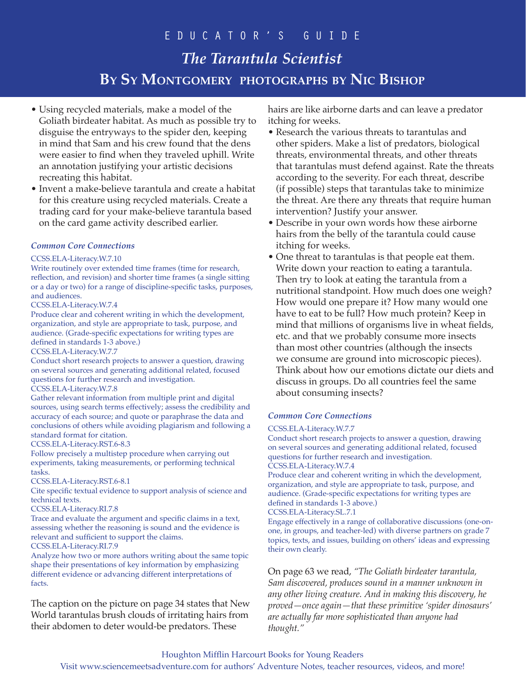- Using recycled materials, make a model of the Goliath birdeater habitat. As much as possible try to disguise the entryways to the spider den, keeping in mind that Sam and his crew found that the dens were easier to find when they traveled uphill. Write an annotation justifying your artistic decisions recreating this habitat.
- Invent a make-believe tarantula and create a habitat for this creature using recycled materials. Create a trading card for your make-believe tarantula based on the card game activity described earlier.

### *Common Core Connections*

### CCSS.ELA-Literacy.W.7.10

Write routinely over extended time frames (time for research, reflection, and revision) and shorter time frames (a single sitting or a day or two) for a range of discipline-specific tasks, purposes, and audiences.

### CCSS.ELA-Literacy.W.7.4

Produce clear and coherent writing in which the development, organization, and style are appropriate to task, purpose, and audience. (Grade-specific expectations for writing types are defined in standards 1-3 above.)

### CCSS.ELA-Literacy.W.7.7

Conduct short research projects to answer a question, drawing on several sources and generating additional related, focused questions for further research and investigation.

### CCSS.ELA-Literacy.W.7.8

Gather relevant information from multiple print and digital sources, using search terms effectively; assess the credibility and accuracy of each source; and quote or paraphrase the data and conclusions of others while avoiding plagiarism and following a standard format for citation.

### CCSS.ELA-Literacy.RST.6-8.3

Follow precisely a multistep procedure when carrying out experiments, taking measurements, or performing technical tasks.

### CCSS.ELA-Literacy.RST.6-8.1

Cite specific textual evidence to support analysis of science and technical texts.

### CCSS.ELA-Literacy.RI.7.8

Trace and evaluate the argument and specific claims in a text, assessing whether the reasoning is sound and the evidence is relevant and sufficient to support the claims. CCSS.ELA-Literacy.RI.7.9

Analyze how two or more authors writing about the same topic shape their presentations of key information by emphasizing different evidence or advancing different interpretations of facts.

The caption on the picture on page 34 states that New World tarantulas brush clouds of irritating hairs from their abdomen to deter would-be predators. These

hairs are like airborne darts and can leave a predator itching for weeks.

- Research the various threats to tarantulas and other spiders. Make a list of predators, biological threats, environmental threats, and other threats that tarantulas must defend against. Rate the threats according to the severity. For each threat, describe (if possible) steps that tarantulas take to minimize the threat. Are there any threats that require human intervention? Justify your answer.
- Describe in your own words how these airborne hairs from the belly of the tarantula could cause itching for weeks.
- One threat to tarantulas is that people eat them. Write down your reaction to eating a tarantula. Then try to look at eating the tarantula from a nutritional standpoint. How much does one weigh? How would one prepare it? How many would one have to eat to be full? How much protein? Keep in mind that millions of organisms live in wheat fields, etc. and that we probably consume more insects than most other countries (although the insects we consume are ground into microscopic pieces). Think about how our emotions dictate our diets and discuss in groups. Do all countries feel the same about consuming insects?

### *Common Core Connections*

### CCSS.ELA-Literacy.W.7.7

Conduct short research projects to answer a question, drawing on several sources and generating additional related, focused questions for further research and investigation.

### CCSS.ELA-Literacy.W.7.4

Produce clear and coherent writing in which the development, organization, and style are appropriate to task, purpose, and audience. (Grade-specific expectations for writing types are defined in standards 1-3 above.)

#### CCSS.ELA-Literacy.SL.7.1

Engage effectively in a range of collaborative discussions (one-onone, in groups, and teacher-led) with diverse partners on grade 7 topics, texts, and issues, building on others' ideas and expressing their own clearly.

On page 63 we read, *"The Goliath birdeater tarantula, Sam discovered, produces sound in a manner unknown in any other living creature. And in making this discovery, he proved—once again—that these primitive 'spider dinosaurs' are actually far more sophisticated than anyone had thought."*

## Houghton Mifflin Harcourt Books for Young Readers